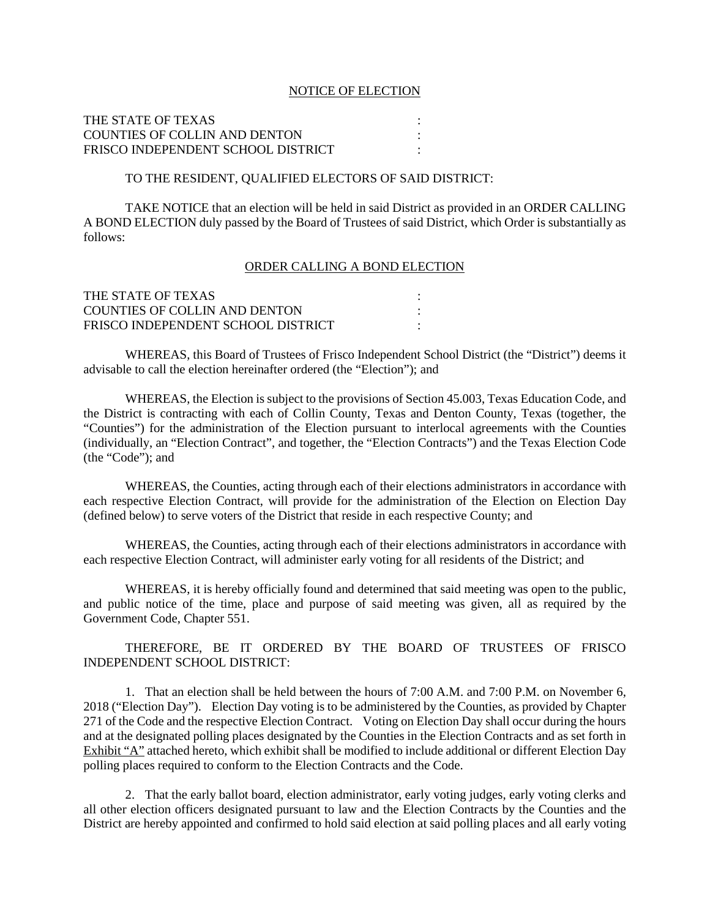#### NOTICE OF ELECTION

# THE STATE OF TEXAS : COUNTIES OF COLLIN AND DENTON : FRISCO INDEPENDENT SCHOOL DISTRICT :

# TO THE RESIDENT, QUALIFIED ELECTORS OF SAID DISTRICT:

TAKE NOTICE that an election will be held in said District as provided in an ORDER CALLING A BOND ELECTION duly passed by the Board of Trustees of said District, which Order is substantially as follows:

#### ORDER CALLING A BOND ELECTION

| THE STATE OF TEXAS                   |  |
|--------------------------------------|--|
| <b>COUNTIES OF COLLIN AND DENTON</b> |  |
| FRISCO INDEPENDENT SCHOOL DISTRICT   |  |

WHEREAS, this Board of Trustees of Frisco Independent School District (the "District") deems it advisable to call the election hereinafter ordered (the "Election"); and

WHEREAS, the Election is subject to the provisions of Section 45.003, Texas Education Code, and the District is contracting with each of Collin County, Texas and Denton County, Texas (together, the "Counties") for the administration of the Election pursuant to interlocal agreements with the Counties (individually, an "Election Contract", and together, the "Election Contracts") and the Texas Election Code (the "Code"); and

WHEREAS, the Counties, acting through each of their elections administrators in accordance with each respective Election Contract, will provide for the administration of the Election on Election Day (defined below) to serve voters of the District that reside in each respective County; and

WHEREAS, the Counties, acting through each of their elections administrators in accordance with each respective Election Contract, will administer early voting for all residents of the District; and

WHEREAS, it is hereby officially found and determined that said meeting was open to the public, and public notice of the time, place and purpose of said meeting was given, all as required by the Government Code, Chapter 551.

THEREFORE, BE IT ORDERED BY THE BOARD OF TRUSTEES OF FRISCO INDEPENDENT SCHOOL DISTRICT:

1. That an election shall be held between the hours of 7:00 A.M. and 7:00 P.M. on November 6, 2018 ("Election Day"). Election Day voting is to be administered by the Counties, as provided by Chapter 271 of the Code and the respective Election Contract. Voting on Election Day shall occur during the hours and at the designated polling places designated by the Counties in the Election Contracts and as set forth in Exhibit "A" attached hereto, which exhibit shall be modified to include additional or different Election Day polling places required to conform to the Election Contracts and the Code.

2. That the early ballot board, election administrator, early voting judges, early voting clerks and all other election officers designated pursuant to law and the Election Contracts by the Counties and the District are hereby appointed and confirmed to hold said election at said polling places and all early voting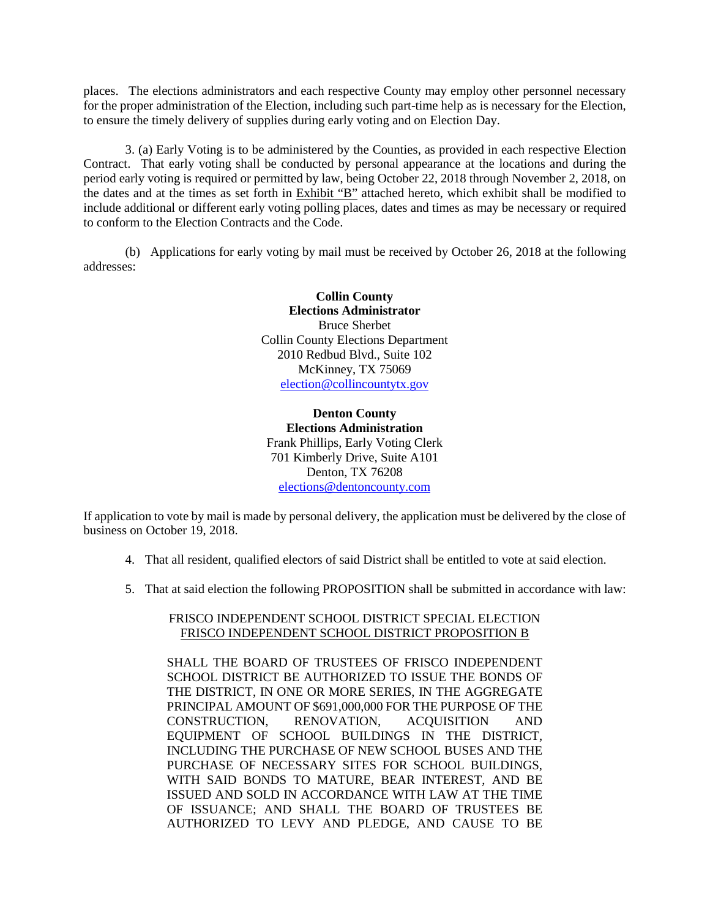places. The elections administrators and each respective County may employ other personnel necessary for the proper administration of the Election, including such part-time help as is necessary for the Election, to ensure the timely delivery of supplies during early voting and on Election Day.

3. (a) Early Voting is to be administered by the Counties, as provided in each respective Election Contract. That early voting shall be conducted by personal appearance at the locations and during the period early voting is required or permitted by law, being October 22, 2018 through November 2, 2018, on the dates and at the times as set forth in Exhibit "B" attached hereto, which exhibit shall be modified to include additional or different early voting polling places, dates and times as may be necessary or required to conform to the Election Contracts and the Code.

(b) Applications for early voting by mail must be received by October 26, 2018 at the following addresses:

> **Collin County Elections Administrator** Bruce Sherbet Collin County Elections Department 2010 Redbud Blvd., Suite 102 McKinney, TX 75069 [election@collincountytx.gov](mailto:election@collincountytx.gov)

**Denton County Elections Administration** Frank Phillips, Early Voting Clerk 701 Kimberly Drive, Suite A101 Denton, TX 76208 [elections@dentoncounty.com](mailto:elections@dentoncounty.com)

If application to vote by mail is made by personal delivery, the application must be delivered by the close of business on October 19, 2018.

- 4. That all resident, qualified electors of said District shall be entitled to vote at said election.
- 5. That at said election the following PROPOSITION shall be submitted in accordance with law:

# FRISCO INDEPENDENT SCHOOL DISTRICT SPECIAL ELECTION FRISCO INDEPENDENT SCHOOL DISTRICT PROPOSITION B

SHALL THE BOARD OF TRUSTEES OF FRISCO INDEPENDENT SCHOOL DISTRICT BE AUTHORIZED TO ISSUE THE BONDS OF THE DISTRICT, IN ONE OR MORE SERIES, IN THE AGGREGATE PRINCIPAL AMOUNT OF \$691,000,000 FOR THE PURPOSE OF THE CONSTRUCTION, RENOVATION, ACQUISITION AND EQUIPMENT OF SCHOOL BUILDINGS IN THE DISTRICT, INCLUDING THE PURCHASE OF NEW SCHOOL BUSES AND THE PURCHASE OF NECESSARY SITES FOR SCHOOL BUILDINGS, WITH SAID BONDS TO MATURE, BEAR INTEREST, AND BE ISSUED AND SOLD IN ACCORDANCE WITH LAW AT THE TIME OF ISSUANCE; AND SHALL THE BOARD OF TRUSTEES BE AUTHORIZED TO LEVY AND PLEDGE, AND CAUSE TO BE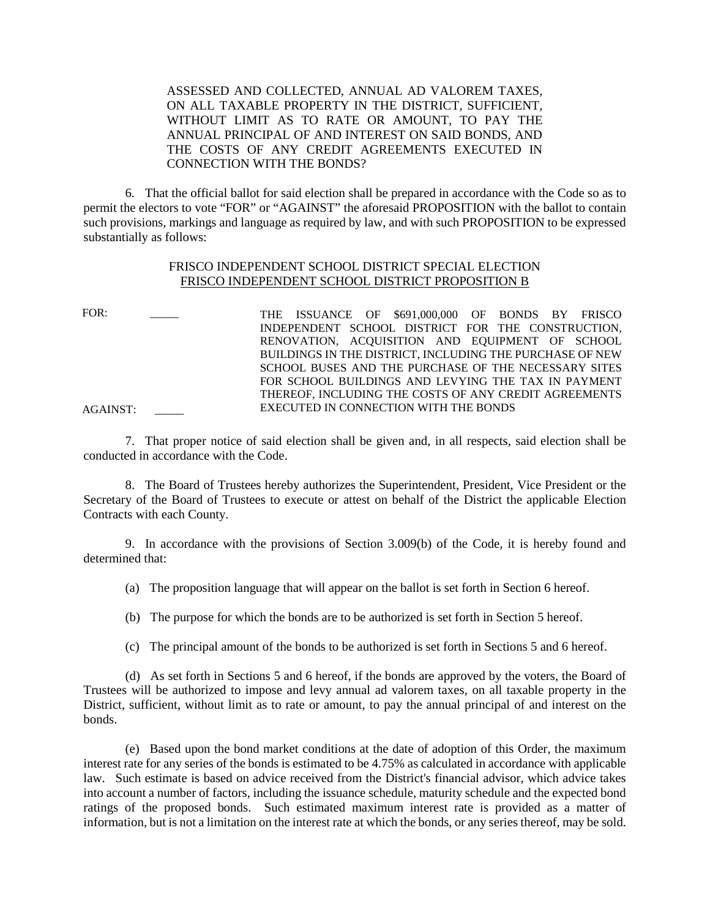ASSESSED AND COLLECTED, ANNUAL AD VALOREM TAXES, ON ALL TAXABLE PROPERTY IN THE DISTRICT, SUFFICIENT, WITHOUT LIMIT AS TO RATE OR AMOUNT, TO PAY THE ANNUAL PRINCIPAL OF AND INTEREST ON SAID BONDS, AND THE COSTS OF ANY CREDIT AGREEMENTS EXECUTED IN CONNECTION WITH THE BONDS?

6. That the official ballot for said election shall be prepared in accordance with the Code so as to permit the electors to vote "FOR" or "AGAINST" the aforesaid PROPOSITION with the ballot to contain such provisions, markings and language as required by law, and with such PROPOSITION to be expressed substantially as follows:

# FRISCO INDEPENDENT SCHOOL DISTRICT SPECIAL ELECTION FRISCO INDEPENDENT SCHOOL DISTRICT PROPOSITION B

FOR: \_\_\_\_\_ THE ISSUANCE OF \$691,000,000 OF BONDS BY FRISCO INDEPENDENT SCHOOL DISTRICT FOR THE CONSTRUCTION, RENOVATION, ACQUISITION AND EQUIPMENT OF SCHOOL BUILDINGS IN THE DISTRICT, INCLUDING THE PURCHASE OF NEW SCHOOL BUSES AND THE PURCHASE OF THE NECESSARY SITES FOR SCHOOL BUILDINGS AND LEVYING THE TAX IN PAYMENT THEREOF, INCLUDING THE COSTS OF ANY CREDIT AGREEMENTS AGAINST: EXECUTED IN CONNECTION WITH THE BONDS

7. That proper notice of said election shall be given and, in all respects, said election shall be conducted in accordance with the Code.

8. The Board of Trustees hereby authorizes the Superintendent, President, Vice President or the Secretary of the Board of Trustees to execute or attest on behalf of the District the applicable Election Contracts with each County.

9. In accordance with the provisions of Section 3.009(b) of the Code, it is hereby found and determined that:

(a) The proposition language that will appear on the ballot is set forth in Section 6 hereof.

(b) The purpose for which the bonds are to be authorized is set forth in Section 5 hereof.

(c) The principal amount of the bonds to be authorized is set forth in Sections 5 and 6 hereof.

(d) As set forth in Sections 5 and 6 hereof, if the bonds are approved by the voters, the Board of Trustees will be authorized to impose and levy annual ad valorem taxes, on all taxable property in the District, sufficient, without limit as to rate or amount, to pay the annual principal of and interest on the bonds.

(e) Based upon the bond market conditions at the date of adoption of this Order, the maximum interest rate for any series of the bonds is estimated to be 4.75% as calculated in accordance with applicable law. Such estimate is based on advice received from the District's financial advisor, which advice takes into account a number of factors, including the issuance schedule, maturity schedule and the expected bond ratings of the proposed bonds. Such estimated maximum interest rate is provided as a matter of information, but is not a limitation on the interest rate at which the bonds, or any series thereof, may be sold.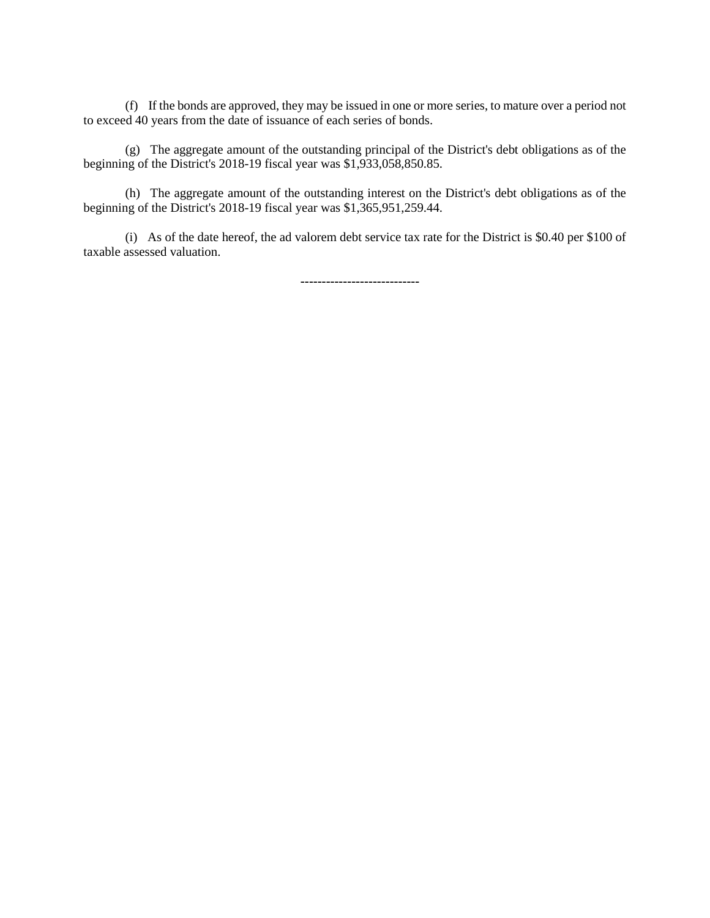(f) If the bonds are approved, they may be issued in one or more series, to mature over a period not to exceed 40 years from the date of issuance of each series of bonds.

(g) The aggregate amount of the outstanding principal of the District's debt obligations as of the beginning of the District's 2018-19 fiscal year was \$1,933,058,850.85.

(h) The aggregate amount of the outstanding interest on the District's debt obligations as of the beginning of the District's 2018-19 fiscal year was \$1,365,951,259.44.

(i) As of the date hereof, the ad valorem debt service tax rate for the District is \$0.40 per \$100 of taxable assessed valuation.

**----------------------------**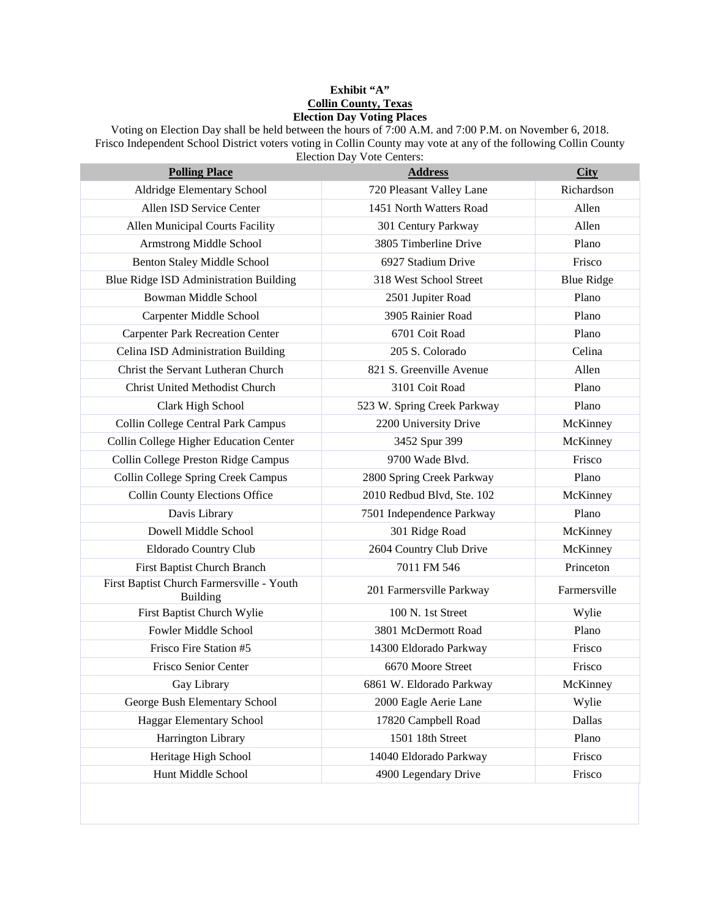### **Exhibit "A" Collin County, Texas Election Day Voting Places**

Voting on Election Day shall be held between the hours of 7:00 A.M. and 7:00 P.M. on November 6, 2018. Frisco Independent School District voters voting in Collin County may vote at any of the following Collin County Election Day Vote Centers:

| <b>Polling Place</b>                                         | <b>Address</b>              | <b>City</b>       |
|--------------------------------------------------------------|-----------------------------|-------------------|
| Aldridge Elementary School                                   | 720 Pleasant Valley Lane    | Richardson        |
| Allen ISD Service Center                                     | 1451 North Watters Road     | Allen             |
| <b>Allen Municipal Courts Facility</b>                       | 301 Century Parkway         | Allen             |
| Armstrong Middle School                                      | 3805 Timberline Drive       | Plano             |
| <b>Benton Staley Middle School</b>                           | 6927 Stadium Drive          | Frisco            |
| Blue Ridge ISD Administration Building                       | 318 West School Street      | <b>Blue Ridge</b> |
| Bowman Middle School                                         | 2501 Jupiter Road           | Plano             |
| Carpenter Middle School                                      | 3905 Rainier Road           | Plano             |
| <b>Carpenter Park Recreation Center</b>                      | 6701 Coit Road              | Plano             |
| Celina ISD Administration Building                           | 205 S. Colorado             | Celina            |
| Christ the Servant Lutheran Church                           | 821 S. Greenville Avenue    | Allen             |
| <b>Christ United Methodist Church</b>                        | 3101 Coit Road              | Plano             |
| Clark High School                                            | 523 W. Spring Creek Parkway | Plano             |
| Collin College Central Park Campus                           | 2200 University Drive       | McKinney          |
| Collin College Higher Education Center                       | 3452 Spur 399               | McKinney          |
| Collin College Preston Ridge Campus                          | 9700 Wade Blvd.             | Frisco            |
| Collin College Spring Creek Campus                           | 2800 Spring Creek Parkway   | Plano             |
| Collin County Elections Office                               | 2010 Redbud Blvd, Ste. 102  | McKinney          |
| Davis Library                                                | 7501 Independence Parkway   | Plano             |
| Dowell Middle School                                         | 301 Ridge Road              | McKinney          |
| Eldorado Country Club                                        | 2604 Country Club Drive     | McKinney          |
| First Baptist Church Branch                                  | 7011 FM 546                 | Princeton         |
| First Baptist Church Farmersville - Youth<br><b>Building</b> | 201 Farmersville Parkway    | Farmersville      |
| First Baptist Church Wylie                                   | 100 N. 1st Street           | Wylie             |
| Fowler Middle School                                         | 3801 McDermott Road         | Plano             |
| Frisco Fire Station #5                                       | 14300 Eldorado Parkway      | Frisco            |
| Frisco Senior Center                                         | 6670 Moore Street           | Frisco            |
| Gay Library                                                  | 6861 W. Eldorado Parkway    | McKinney          |
| George Bush Elementary School                                | 2000 Eagle Aerie Lane       | Wylie             |
| Haggar Elementary School                                     | 17820 Campbell Road         | Dallas            |
| Harrington Library                                           | 1501 18th Street            | Plano             |
| Heritage High School                                         | 14040 Eldorado Parkway      | Frisco            |
| Hunt Middle School                                           | 4900 Legendary Drive        | Frisco            |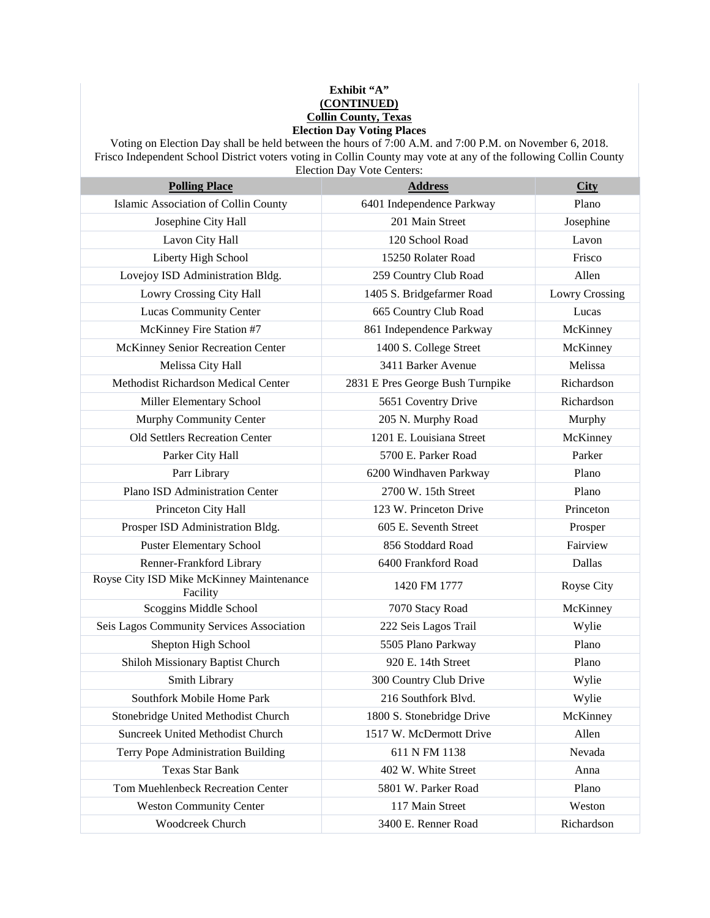### **Exhibit "A" (CONTINUED) Collin County, Texas Election Day Voting Places**

Voting on Election Day shall be held between the hours of 7:00 A.M. and 7:00 P.M. on November 6, 2018. Frisco Independent School District voters voting in Collin County may vote at any of the following Collin County Election Day Vote Centers:

| <b>Polling Place</b>                                 | <b>Address</b>                   | <b>City</b>           |
|------------------------------------------------------|----------------------------------|-----------------------|
| Islamic Association of Collin County                 | 6401 Independence Parkway        | Plano                 |
| Josephine City Hall                                  | 201 Main Street                  | Josephine             |
| Lavon City Hall                                      | 120 School Road                  | Lavon                 |
| Liberty High School                                  | 15250 Rolater Road               | Frisco                |
| Lovejoy ISD Administration Bldg.                     | 259 Country Club Road            | Allen                 |
| <b>Lowry Crossing City Hall</b>                      | 1405 S. Bridgefarmer Road        | <b>Lowry Crossing</b> |
| <b>Lucas Community Center</b>                        | 665 Country Club Road            | Lucas                 |
| McKinney Fire Station #7                             | 861 Independence Parkway         | McKinney              |
| McKinney Senior Recreation Center                    | 1400 S. College Street           | McKinney              |
| Melissa City Hall                                    | 3411 Barker Avenue               | Melissa               |
| Methodist Richardson Medical Center                  | 2831 E Pres George Bush Turnpike | Richardson            |
| Miller Elementary School                             | 5651 Coventry Drive              | Richardson            |
| Murphy Community Center                              | 205 N. Murphy Road               | Murphy                |
| <b>Old Settlers Recreation Center</b>                | 1201 E. Louisiana Street         | McKinney              |
| Parker City Hall                                     | 5700 E. Parker Road              | Parker                |
| Parr Library                                         | 6200 Windhaven Parkway           | Plano                 |
| Plano ISD Administration Center                      | 2700 W. 15th Street              | Plano                 |
| Princeton City Hall                                  | 123 W. Princeton Drive           | Princeton             |
| Prosper ISD Administration Bldg.                     | 605 E. Seventh Street            | Prosper               |
| <b>Puster Elementary School</b>                      | 856 Stoddard Road                | Fairview              |
| Renner-Frankford Library                             | 6400 Frankford Road              | Dallas                |
| Royse City ISD Mike McKinney Maintenance<br>Facility | 1420 FM 1777                     | Royse City            |
| Scoggins Middle School                               | 7070 Stacy Road                  | McKinney              |
| Seis Lagos Community Services Association            | 222 Seis Lagos Trail             | Wylie                 |
| Shepton High School                                  | 5505 Plano Parkway               | Plano                 |
| Shiloh Missionary Baptist Church                     | 920 E. 14th Street               | Plano                 |
| Smith Library                                        | 300 Country Club Drive           | Wylie                 |
| Southfork Mobile Home Park                           | 216 Southfork Blvd.              | Wylie                 |
| Stonebridge United Methodist Church                  | 1800 S. Stonebridge Drive        | McKinney              |
| Suncreek United Methodist Church                     | 1517 W. McDermott Drive          | Allen                 |
| Terry Pope Administration Building                   | 611 N FM 1138                    | Nevada                |
| <b>Texas Star Bank</b>                               | 402 W. White Street              | Anna                  |
| Tom Muehlenbeck Recreation Center                    | 5801 W. Parker Road              | Plano                 |
| <b>Weston Community Center</b>                       | 117 Main Street                  | Weston                |
| <b>Woodcreek Church</b>                              | 3400 E. Renner Road              | Richardson            |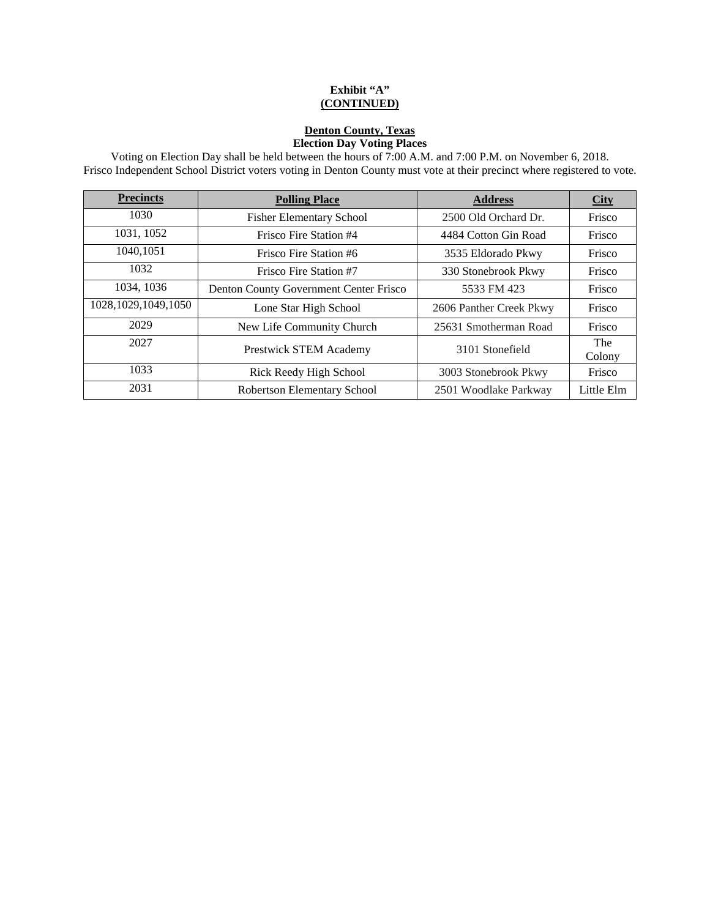# **Exhibit "A" (CONTINUED)**

# **Denton County, Texas Election Day Voting Places**

Voting on Election Day shall be held between the hours of 7:00 A.M. and 7:00 P.M. on November 6, 2018. Frisco Independent School District voters voting in Denton County must vote at their precinct where registered to vote.

| <b>Precincts</b>       | <b>Polling Place</b>                   | <b>Address</b>          | <b>City</b>   |
|------------------------|----------------------------------------|-------------------------|---------------|
| 1030                   | <b>Fisher Elementary School</b>        | 2500 Old Orchard Dr.    | Frisco        |
| 1031, 1052             | Frisco Fire Station #4                 | 4484 Cotton Gin Road    | Frisco        |
| 1040,1051              | Frisco Fire Station #6                 | 3535 Eldorado Pkwy      | Frisco        |
| 1032                   | Frisco Fire Station #7                 | 330 Stonebrook Pkwy     | Frisco        |
| 1034, 1036             | Denton County Government Center Frisco | 5533 FM 423             | Frisco        |
| 1028, 1029, 1049, 1050 | Lone Star High School                  | 2606 Panther Creek Pkwy | Frisco        |
| 2029                   | New Life Community Church              | 25631 Smotherman Road   | Frisco        |
| 2027                   | <b>Prestwick STEM Academy</b>          | 3101 Stonefield         | The<br>Colony |
| 1033                   | Rick Reedy High School                 | 3003 Stonebrook Pkwy    | Frisco        |
| 2031                   | <b>Robertson Elementary School</b>     | 2501 Woodlake Parkway   | Little Elm    |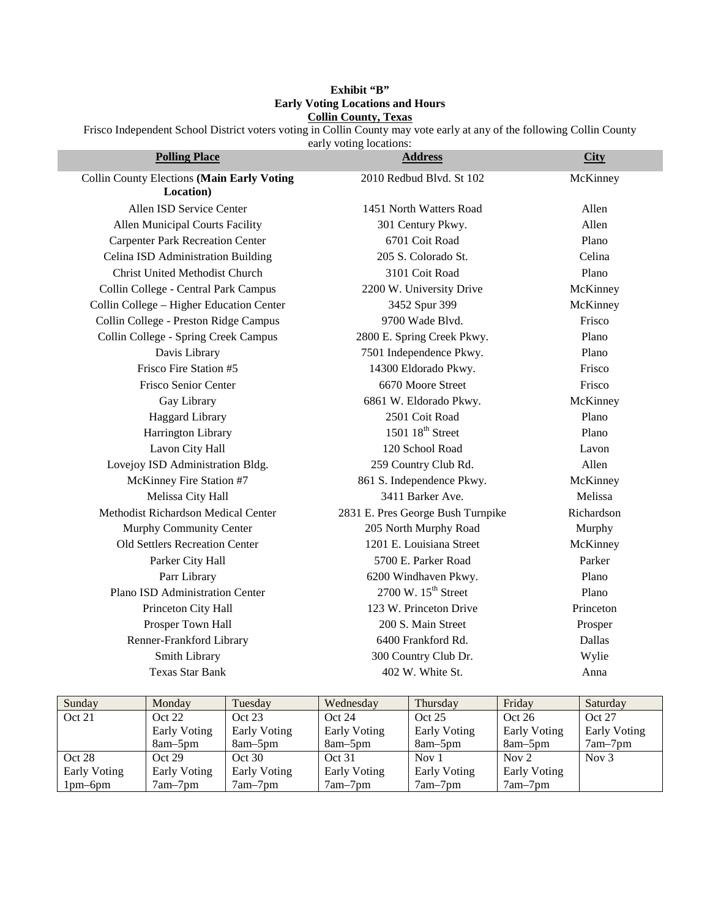## **Exhibit "B" Early Voting Locations and Hours Collin County, Texas**

Frisco Independent School District voters voting in Collin County may vote early at any of the following Collin County

early voting locations:

| <b>Polling Place</b>                       | <b>Address</b>                             | <b>City</b> |
|--------------------------------------------|--------------------------------------------|-------------|
| Collin County Elections (Main Early Voting | 2010 Redbud Blvd. St 102                   | McKinney    |
| Location)                                  |                                            |             |
| Allen ISD Service Center                   | 1451 North Watters Road                    | Allen       |
| Allen Municipal Courts Facility            | 301 Century Pkwy.                          | Allen       |
| <b>Carpenter Park Recreation Center</b>    | 6701 Coit Road                             | Plano       |
| Celina ISD Administration Building         | 205 S. Colorado St.                        | Celina      |
| <b>Christ United Methodist Church</b>      | 3101 Coit Road                             | Plano       |
| Collin College - Central Park Campus       | 2200 W. University Drive                   | McKinney    |
| Collin College - Higher Education Center   | 3452 Spur 399                              | McKinney    |
| Collin College - Preston Ridge Campus      | 9700 Wade Blvd.                            | Frisco      |
| Collin College - Spring Creek Campus       | 2800 E. Spring Creek Pkwy.                 | Plano       |
| Davis Library                              | 7501 Independence Pkwy.                    | Plano       |
| Frisco Fire Station #5                     | 14300 Eldorado Pkwy.                       | Frisco      |
| Frisco Senior Center                       | 6670 Moore Street                          | Frisco      |
| Gay Library                                | 6861 W. Eldorado Pkwy.                     | McKinney    |
| <b>Haggard Library</b>                     | 2501 Coit Road                             | Plano       |
| Harrington Library                         | 1501 $18th$ Street                         | Plano       |
| Lavon City Hall                            | 120 School Road                            | Lavon       |
| Lovejoy ISD Administration Bldg.           | 259 Country Club Rd.                       | Allen       |
| McKinney Fire Station #7                   | 861 S. Independence Pkwy.                  | McKinney    |
| Melissa City Hall                          | 3411 Barker Ave.                           | Melissa     |
| Methodist Richardson Medical Center        | 2831 E. Pres George Bush Turnpike          | Richardson  |
| Murphy Community Center                    | 205 North Murphy Road                      | Murphy      |
| Old Settlers Recreation Center             | 1201 E. Louisiana Street                   | McKinney    |
| Parker City Hall                           | 5700 E. Parker Road                        | Parker      |
| Parr Library                               | 6200 Windhaven Pkwy.                       | Plano       |
| Plano ISD Administration Center            | $2700 \text{ W}$ . $15^{\text{th}}$ Street | Plano       |
| Princeton City Hall                        | 123 W. Princeton Drive                     | Princeton   |
| Prosper Town Hall                          | 200 S. Main Street                         | Prosper     |
| Renner-Frankford Library                   | 6400 Frankford Rd.                         | Dallas      |
| Smith Library                              | 300 Country Club Dr.                       | Wylie       |
| <b>Texas Star Bank</b>                     | 402 W. White St.                           | Anna        |

| Sunday       | Monday       | Tuesday      | Wednesday           | Thursday            | Friday              | Saturday     |
|--------------|--------------|--------------|---------------------|---------------------|---------------------|--------------|
| Oct 21       | Oct 22       | Oct 23       | Oct 24              | Oct 25              | Oct 26              | Oct 27       |
|              | Early Voting | Early Voting | Early Voting        | Early Voting        | Early Voting        | Early Voting |
|              | $8am-5pm$    | $8am-5pm$    | 8am–5pm             | 8am–5pm             | 8am–5pm             | $7am-7pm$    |
| Oct 28       | Oct 29       | Oct 30       | Oct 31              | Nov $1$             | Nov $2$             | Nov $3$      |
| Early Voting | Early Voting | Early Voting | <b>Early Voting</b> | <b>Early Voting</b> | <b>Early Voting</b> |              |
| $1pm-6pm$    | $7am-7pm$    | $7am-7pm$    | $7am-7pm$           | $7am-7pm$           | $7am-7pm$           |              |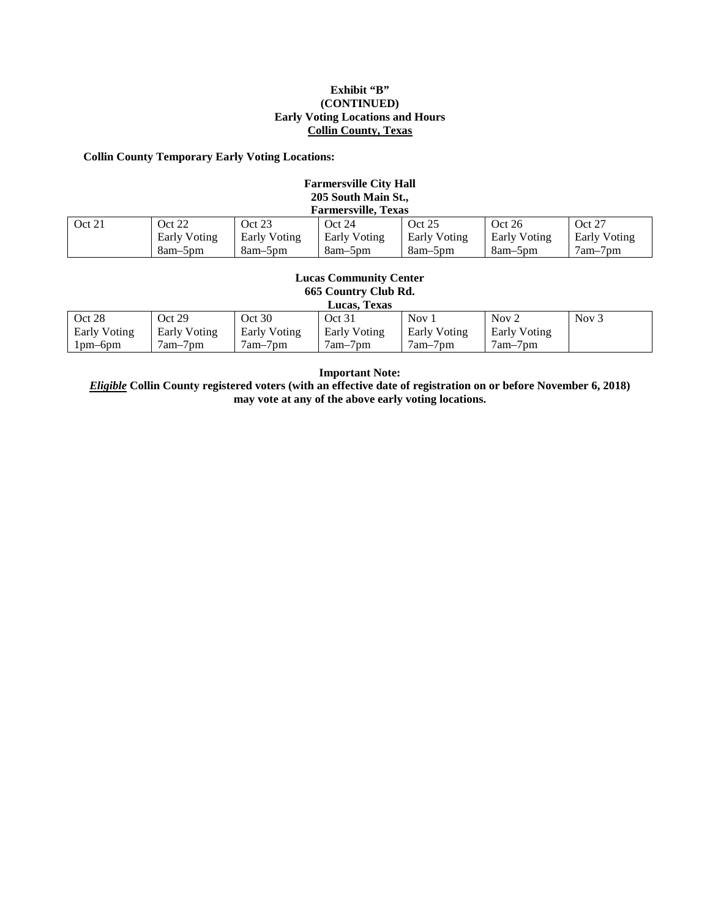#### **Exhibit "B" (CONTINUED) Early Voting Locations and Hours Collin County, Texas**

#### **Collin County Temporary Early Voting Locations:**

| <b>Farmersville City Hall</b><br>205 South Main St.,<br><b>Farmersville, Texas</b>                         |         |         |         |           |         |           |
|------------------------------------------------------------------------------------------------------------|---------|---------|---------|-----------|---------|-----------|
| Oct 21                                                                                                     | Oct 22  | Oct 23  | Oct 24  | Oct 25    | Oct 26  | Oct 27    |
| Early Voting<br>Early Voting<br><b>Early Voting</b><br>Early Voting<br>Early Voting<br><b>Early Voting</b> |         |         |         |           |         |           |
|                                                                                                            | 8am-5pm | 8am-5pm | 8am-5pm | $8am-5pm$ | 8am-5pm | $7am-7pm$ |

#### **Lucas Community Center 665 Country Club Rd. Lucas, Texas**

| Lucas. Texas        |              |              |              |              |              |         |
|---------------------|--------------|--------------|--------------|--------------|--------------|---------|
| Oct 28              | Oct 29       | Oct 30       | Oct 31       | Nov 1        | Nov $2$      | Nov $3$ |
| <b>Early Voting</b> | Early Voting | Early Voting | Early Voting | Early Voting | Early Voting |         |
| 1pm–6pm             | $7am-7pm$    | $7am-7pm$    | 7am-7pm      | 7am–7pm      | $7am-7pm$    |         |

**Important Note:** 

*Eligible* **Collin County registered voters (with an effective date of registration on or before November 6, 2018) may vote at any of the above early voting locations.**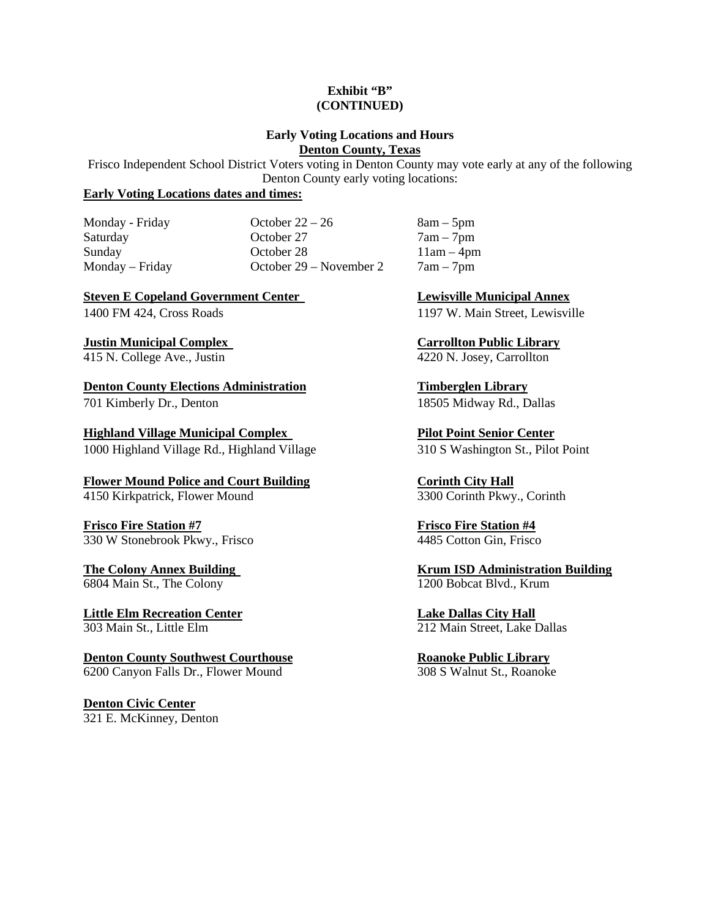#### **Exhibit "B" (CONTINUED)**

### **Early Voting Locations and Hours Denton County, Texas**

Frisco Independent School District Voters voting in Denton County may vote early at any of the following Denton County early voting locations:

# **Early Voting Locations dates and times:**

Monday - Friday  $October 22 - 26$   $8am - 5pm$ Saturday October 27 7am – 7pm Sunday **October 28** 11am – 4pm Monday – Friday **October 29 – November 2** 7am – 7pm

**Steven E Copeland Government Center Lewisville Municipal Annex** 

415 N. College Ave., Justin 4220 N. Josey, Carrollton

**Denton County Elections Administration Fig. 3. Timberglen Library** 701 Kimberly Dr., Denton 18505 Midway Rd., Dallas

**Highland Village Municipal Complex Pilot Point Senior Center** 1000 Highland Village Rd., Highland Village 310 S Washington St., Pilot Point

**Flower Mound Police and Court Building Corinth City Hall**<br>4150 Kirkpatrick, Flower Mound 3300 Corinth Pkwy., Corinth 4150 Kirkpatrick, Flower Mound

**Frisco Fire Station #7**<br>330 W Stonebrook Pkwy., Frisco **Frisco Fire Station #4**<br>4485 Cotton Gin, Frisco 330 W Stonebrook Pkwy., Frisco

6804 Main St., The Colony

**Little Elm Recreation Center Lake Dallas City Hall** 303 Main St., Little Elm 212 Main Street, Lake Dallas

**Denton County Southwest Courthouse**<br>
6200 Canvon Falls Dr., Flower Mound<br>
308 S Walnut St., Roanoke 6200 Canyon Falls Dr., Flower Mound

**Denton Civic Center** 321 E. McKinney, Denton

1400 FM 424, Cross Roads 1197 W. Main Street, Lewisville

**Justin Municipal Complex Carrollton Public Library**

**The Colony Annex Building**<br> **Krum ISD Administration Building**<br>
1200 Bobcat Blvd., Krum